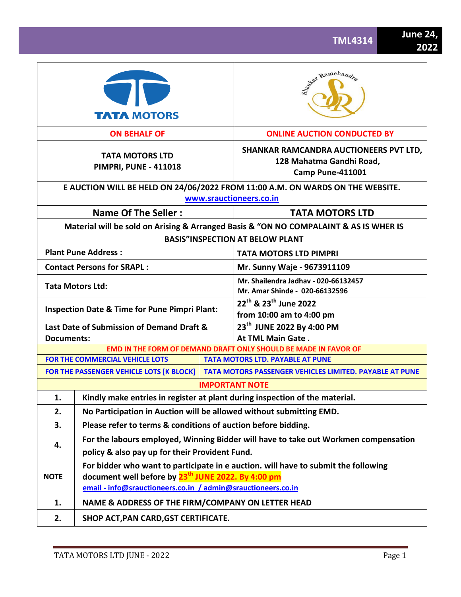|                                   | <b>TATA MOTORS</b>                                                                                                                                                                                                   |                                                                                               | Sent Ramchandra                                                                                            |  |  |  |  |
|-----------------------------------|----------------------------------------------------------------------------------------------------------------------------------------------------------------------------------------------------------------------|-----------------------------------------------------------------------------------------------|------------------------------------------------------------------------------------------------------------|--|--|--|--|
|                                   | <b>ON BEHALF OF</b>                                                                                                                                                                                                  |                                                                                               | <b>ONLINE AUCTION CONDUCTED BY</b>                                                                         |  |  |  |  |
|                                   | <b>TATA MOTORS LTD</b><br><b>PIMPRI, PUNE - 411018</b>                                                                                                                                                               | SHANKAR RAMCANDRA AUCTIONEERS PVT LTD,<br>128 Mahatma Gandhi Road,<br><b>Camp Pune-411001</b> |                                                                                                            |  |  |  |  |
|                                   |                                                                                                                                                                                                                      |                                                                                               | E AUCTION WILL BE HELD ON 24/06/2022 FROM 11:00 A.M. ON WARDS ON THE WEBSITE.<br>www.srauctioneers.co.in   |  |  |  |  |
|                                   | <b>Name Of The Seller:</b>                                                                                                                                                                                           |                                                                                               | <b>TATA MOTORS LTD</b>                                                                                     |  |  |  |  |
|                                   |                                                                                                                                                                                                                      |                                                                                               | Material will be sold on Arising & Arranged Basis & "ON NO COMPALAINT & AS IS WHER IS                      |  |  |  |  |
|                                   |                                                                                                                                                                                                                      |                                                                                               | <b>BASIS"INSPECTION AT BELOW PLANT</b>                                                                     |  |  |  |  |
|                                   | <b>Plant Pune Address:</b>                                                                                                                                                                                           |                                                                                               | <b>TATA MOTORS LTD PIMPRI</b>                                                                              |  |  |  |  |
| <b>Contact Persons for SRAPL:</b> |                                                                                                                                                                                                                      |                                                                                               | Mr. Sunny Waje - 9673911109                                                                                |  |  |  |  |
| <b>Tata Motors Ltd:</b>           |                                                                                                                                                                                                                      |                                                                                               | Mr. Shailendra Jadhav - 020-66132457<br>Mr. Amar Shinde - 020-66132596                                     |  |  |  |  |
|                                   | <b>Inspection Date &amp; Time for Pune Pimpri Plant:</b>                                                                                                                                                             |                                                                                               | 22 <sup>th</sup> & 23 <sup>th</sup> June 2022<br>from 10:00 am to 4:00 pm                                  |  |  |  |  |
|                                   | Last Date of Submission of Demand Draft &                                                                                                                                                                            |                                                                                               | 23 <sup>th</sup> JUNE 2022 By 4:00 PM                                                                      |  |  |  |  |
| <b>Documents:</b>                 |                                                                                                                                                                                                                      |                                                                                               | At TML Main Gate.                                                                                          |  |  |  |  |
|                                   | FOR THE COMMERCIAL VEHICLE LOTS                                                                                                                                                                                      |                                                                                               | EMD IN THE FORM OF DEMAND DRAFT ONLY SHOULD BE MADE IN FAVOR OF<br><b>TATA MOTORS LTD. PAYABLE AT PUNE</b> |  |  |  |  |
|                                   | FOR THE PASSENGER VEHICLE LOTS [K BLOCK]                                                                                                                                                                             |                                                                                               | <b>TATA MOTORS PASSENGER VEHICLES LIMITED. PAYABLE AT PUNE</b>                                             |  |  |  |  |
|                                   |                                                                                                                                                                                                                      |                                                                                               | <b>IMPORTANT NOTE</b>                                                                                      |  |  |  |  |
| 1.                                |                                                                                                                                                                                                                      |                                                                                               | Kindly make entries in register at plant during inspection of the material.                                |  |  |  |  |
| 2.                                | No Participation in Auction will be allowed without submitting EMD.                                                                                                                                                  |                                                                                               |                                                                                                            |  |  |  |  |
| 3.                                | Please refer to terms & conditions of auction before bidding.                                                                                                                                                        |                                                                                               |                                                                                                            |  |  |  |  |
|                                   |                                                                                                                                                                                                                      |                                                                                               | For the labours employed, Winning Bidder will have to take out Workmen compensation                        |  |  |  |  |
| 4.                                | policy & also pay up for their Provident Fund.                                                                                                                                                                       |                                                                                               |                                                                                                            |  |  |  |  |
| <b>NOTE</b>                       | For bidder who want to participate in e auction. will have to submit the following<br>document well before by 23 <sup>th</sup> JUNE 2022. By 4:00 pm<br>email - info@srauctioneers.co.in / admin@srauctioneers.co.in |                                                                                               |                                                                                                            |  |  |  |  |
| 1.                                | NAME & ADDRESS OF THE FIRM/COMPANY ON LETTER HEAD                                                                                                                                                                    |                                                                                               |                                                                                                            |  |  |  |  |
| 2.                                | SHOP ACT, PAN CARD, GST CERTIFICATE.                                                                                                                                                                                 |                                                                                               |                                                                                                            |  |  |  |  |
|                                   |                                                                                                                                                                                                                      |                                                                                               |                                                                                                            |  |  |  |  |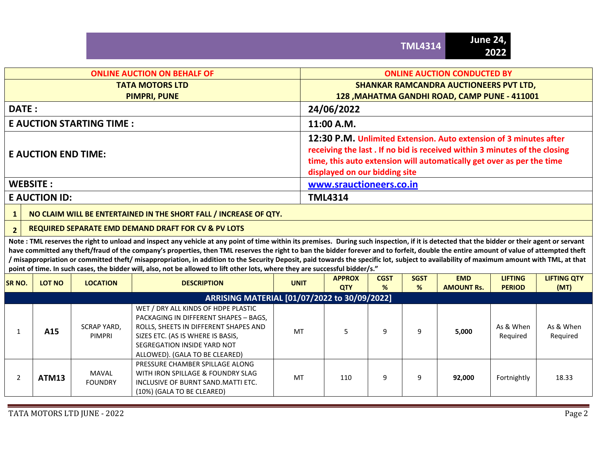## **ONLINE AUCTION ON BEHALF OF ONLINE AUCTION CONDUCTED BY TATA MOTORS LTD PIMPRI, PUNE SHANKAR RAMCANDRA AUCTIONEERS PVT LTD, 128 ,MAHATMA GANDHI ROAD, CAMP PUNE - 411001 DATE : 24/06/2022 E AUCTION STARTING TIME : 11:00 A.M. E AUCTION END TIME: 12:30 P.M. Unlimited Extension. Auto extension of 3 minutes after receiving the last . If no bid is received within 3 minutes of the closing time, this auto extension will automatically get over as per the time displayed on our bidding site WEBSITE : [www.srauctioneers.co.in](http://www.srauctioneers.co.in/)**

## **E AUCTION ID: TML4314**

## **1 NO CLAIM WILL BE ENTERTAINED IN THE SHORT FALL / INCREASE OF QTY.**

## **2 REQUIRED SEPARATE EMD DEMAND DRAFT FOR CV & PV LOTS**

Note : TML reserves the right to unload and inspect any vehicle at any point of time within its premises. During such inspection, if it is detected that the bidder or their agent or servant have committed any theft/fraud of the company's properties, then TML reserves the right to ban the bidder forever and to forfeit, double the entire amount of value of attempted theft **/ misappropriation or committed theft/ misappropriation, in addition to the Security Deposit, paid towards the specific lot, subject to availability of maximum amount with TML, at that point of time. In such cases, the bidder will, also, not be allowed to lift other lots, where they are successful bidder/s."**

| SR NO. | <b>LOT NO</b> | <b>LOCATION</b>              | <b>DESCRIPTION</b>                                                                                                                                                                                                          | <b>UNIT</b> | <b>APPROX</b><br><b>QTY</b> | <b>CGST</b><br>% | <b>SGST</b><br>% | <b>EMD</b><br><b>AMOUNT Rs.</b> | <b>LIFTING</b><br><b>PERIOD</b> | <b>LIFTING QTY</b><br>(MT) |
|--------|---------------|------------------------------|-----------------------------------------------------------------------------------------------------------------------------------------------------------------------------------------------------------------------------|-------------|-----------------------------|------------------|------------------|---------------------------------|---------------------------------|----------------------------|
|        |               |                              | ARRISING MATERIAL [01/07/2022 to 30/09/2022]                                                                                                                                                                                |             |                             |                  |                  |                                 |                                 |                            |
|        | A15           | SCRAP YARD.<br><b>PIMPRI</b> | WET / DRY ALL KINDS OF HDPE PLASTIC<br>PACKAGING IN DIFFERENT SHAPES - BAGS,<br>ROLLS, SHEETS IN DIFFERENT SHAPES AND<br>SIZES ETC. (AS IS WHERE IS BASIS,<br>SEGREGATION INSIDE YARD NOT<br>ALLOWED). (GALA TO BE CLEARED) | MT          |                             | 9                |                  | 5,000                           | As & When<br>Reguired           | As & When<br>Required      |
|        | ATM13         | MAVAL<br><b>FOUNDRY</b>      | PRESSURE CHAMBER SPILLAGE ALONG<br>WITH IRON SPILLAGE & FOUNDRY SLAG<br>INCLUSIVE OF BURNT SAND. MATTI ETC.<br>(10%) (GALA TO BE CLEARED)                                                                                   | MT          | 110                         | 9                |                  | 92,000                          | Fortnightly                     | 18.33                      |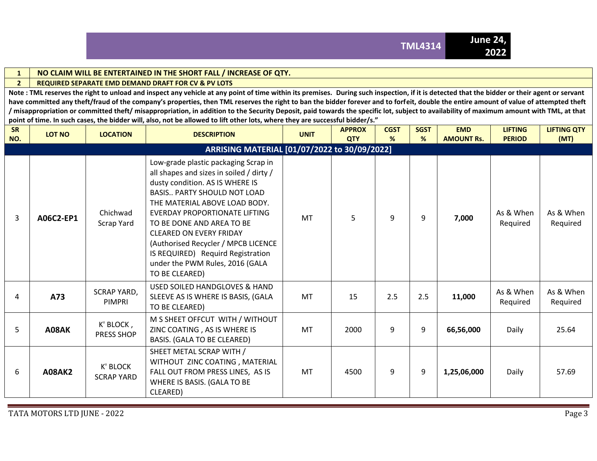

## **1 NO CLAIM WILL BE ENTERTAINED IN THE SHORT FALL / INCREASE OF QTY.**

#### **2 REQUIRED SEPARATE EMD DEMAND DRAFT FOR CV & PV LOTS**

**Note : TML reserves the right to unload and inspect any vehicle at any point of time within its premises. During such inspection, if it is detected that the bidder or their agent or servant**  have committed any theft/fraud of the company's properties, then TML reserves the right to ban the bidder forever and to forfeit, double the entire amount of value of attempted theft **/ misappropriation or committed theft/ misappropriation, in addition to the Security Deposit, paid towards the specific lot, subject to availability of maximum amount with TML, at that point of time. In such cases, the bidder will, also, not be allowed to lift other lots, where they are successful bidder/s."**

| SR<br>NO.      | <b>LOT NO</b> | <b>LOCATION</b>                | <b>DESCRIPTION</b>                                                                                                                                                                                                                                                                                                                                                                                                          | <b>UNIT</b> | <b>APPROX</b><br><b>QTY</b> | <b>CGST</b><br>% | <b>SGST</b><br>% | <b>EMD</b><br><b>AMOUNT Rs.</b> | <b>LIFTING</b><br><b>PERIOD</b> | <b>LIFTING QTY</b><br>(MT) |
|----------------|---------------|--------------------------------|-----------------------------------------------------------------------------------------------------------------------------------------------------------------------------------------------------------------------------------------------------------------------------------------------------------------------------------------------------------------------------------------------------------------------------|-------------|-----------------------------|------------------|------------------|---------------------------------|---------------------------------|----------------------------|
|                |               |                                | ARRISING MATERIAL [01/07/2022 to 30/09/2022]                                                                                                                                                                                                                                                                                                                                                                                |             |                             |                  |                  |                                 |                                 |                            |
| $\overline{3}$ | A06C2-EP1     | Chichwad<br>Scrap Yard         | Low-grade plastic packaging Scrap in<br>all shapes and sizes in soiled / dirty /<br>dusty condition. AS IS WHERE IS<br><b>BASIS PARTY SHOULD NOT LOAD</b><br>THE MATERIAL ABOVE LOAD BODY.<br>EVERDAY PROPORTIONATE LIFTING<br>TO BE DONE AND AREA TO BE<br><b>CLEARED ON EVERY FRIDAY</b><br>(Authorised Recycler / MPCB LICENCE<br>IS REQUIRED) Requird Registration<br>under the PWM Rules, 2016 (GALA<br>TO BE CLEARED) | <b>MT</b>   | 5                           | 9                | 9                | 7,000                           | As & When<br>Required           | As & When<br>Required      |
| 4              | A73           | <b>SCRAP YARD,</b><br>PIMPRI   | USED SOILED HANDGLOVES & HAND<br>SLEEVE AS IS WHERE IS BASIS, (GALA<br>TO BE CLEARED)                                                                                                                                                                                                                                                                                                                                       | <b>MT</b>   | 15                          | 2.5              | 2.5              | 11,000                          | As & When<br>Reguired           | As & When<br>Required      |
| 5              | A08AK         | K' BLOCK,<br><b>PRESS SHOP</b> | M S SHEET OFFCUT WITH / WITHOUT<br>ZINC COATING, AS IS WHERE IS<br>BASIS. (GALA TO BE CLEARED)                                                                                                                                                                                                                                                                                                                              | <b>MT</b>   | 2000                        | 9                | 9                | 66,56,000                       | Daily                           | 25.64                      |
| 6              | <b>A08AK2</b> | K' BLOCK<br><b>SCRAP YARD</b>  | SHEET METAL SCRAP WITH /<br>WITHOUT ZINC COATING, MATERIAL<br>FALL OUT FROM PRESS LINES, AS IS<br>WHERE IS BASIS. (GALA TO BE<br>CLEARED)                                                                                                                                                                                                                                                                                   | <b>MT</b>   | 4500                        | 9                | 9                | 1,25,06,000                     | Daily                           | 57.69                      |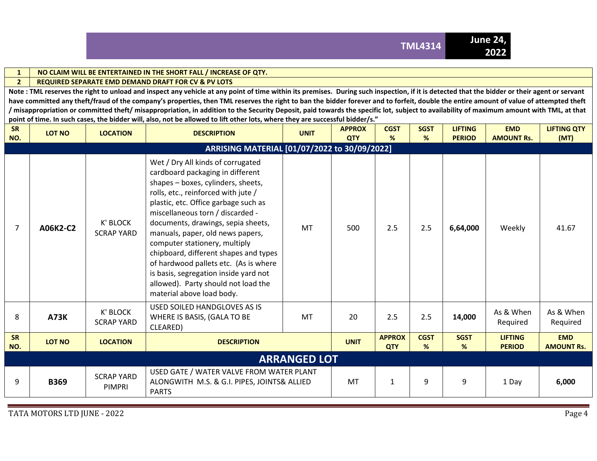

#### **1 NO CLAIM WILL BE ENTERTAINED IN THE SHORT FALL / INCREASE OF QTY.**

#### **2 REQUIRED SEPARATE EMD DEMAND DRAFT FOR CV & PV LOTS**

**Note : TML reserves the right to unload and inspect any vehicle at any point of time within its premises. During such inspection, if it is detected that the bidder or their agent or servant**  have committed any theft/fraud of the company's properties, then TML reserves the right to ban the bidder forever and to forfeit, double the entire amount of value of attempted theft **/ misappropriation or committed theft/ misappropriation, in addition to the Security Deposit, paid towards the specific lot, subject to availability of maximum amount with TML, at that point of time. In such cases, the bidder will, also, not be allowed to lift other lots, where they are successful bidder/s."**

| SR<br>NO.        | <b>LOT NO</b> | <b>LOCATION</b>                    | <b>DESCRIPTION</b>                                                                                                                                                                                                                                                                                                                                                                                                                                                                                                                       | <b>UNIT</b>         | <b>APPROX</b><br><b>QTY</b> | <b>CGST</b><br>%            | <b>SGST</b><br>% | <b>LIFTING</b><br><b>PERIOD</b> | <b>EMD</b><br><b>AMOUNT Rs.</b> | <b>LIFTING QTY</b><br>(MT)      |
|------------------|---------------|------------------------------------|------------------------------------------------------------------------------------------------------------------------------------------------------------------------------------------------------------------------------------------------------------------------------------------------------------------------------------------------------------------------------------------------------------------------------------------------------------------------------------------------------------------------------------------|---------------------|-----------------------------|-----------------------------|------------------|---------------------------------|---------------------------------|---------------------------------|
|                  |               |                                    | ARRISING MATERIAL [01/07/2022 to 30/09/2022]                                                                                                                                                                                                                                                                                                                                                                                                                                                                                             |                     |                             |                             |                  |                                 |                                 |                                 |
| $\overline{7}$   | A06K2-C2      | K' BLOCK<br><b>SCRAP YARD</b>      | Wet / Dry All kinds of corrugated<br>cardboard packaging in different<br>shapes - boxes, cylinders, sheets,<br>rolls, etc., reinforced with jute /<br>plastic, etc. Office garbage such as<br>miscellaneous torn / discarded -<br>documents, drawings, sepia sheets,<br>manuals, paper, old news papers,<br>computer stationery, multiply<br>chipboard, different shapes and types<br>of hardwood pallets etc. (As is where<br>is basis, segregation inside yard not<br>allowed). Party should not load the<br>material above load body. | <b>MT</b>           | 500                         | 2.5                         | 2.5              | 6,64,000                        | Weekly                          | 41.67                           |
| 8                | <b>A73K</b>   | K' BLOCK<br><b>SCRAP YARD</b>      | USED SOILED HANDGLOVES AS IS<br>WHERE IS BASIS, (GALA TO BE<br>CLEARED)                                                                                                                                                                                                                                                                                                                                                                                                                                                                  | MT                  | 20                          | 2.5                         | 2.5              | 14,000                          | As & When<br>Required           | As & When<br>Required           |
| <b>SR</b><br>NO. | LOT NO        | <b>LOCATION</b>                    | <b>DESCRIPTION</b>                                                                                                                                                                                                                                                                                                                                                                                                                                                                                                                       |                     | <b>UNIT</b>                 | <b>APPROX</b><br><b>QTY</b> | <b>CGST</b><br>% | <b>SGST</b><br>%                | <b>LIFTING</b><br><b>PERIOD</b> | <b>EMD</b><br><b>AMOUNT Rs.</b> |
|                  |               |                                    |                                                                                                                                                                                                                                                                                                                                                                                                                                                                                                                                          | <b>ARRANGED LOT</b> |                             |                             |                  |                                 |                                 |                                 |
| 9                | <b>B369</b>   | <b>SCRAP YARD</b><br><b>PIMPRI</b> | USED GATE / WATER VALVE FROM WATER PLANT<br>ALONGWITH M.S. & G.I. PIPES, JOINTS& ALLIED<br><b>PARTS</b>                                                                                                                                                                                                                                                                                                                                                                                                                                  | MT                  | $\mathbf{1}$                | 9                           | 9                | 1 Day                           | 6,000                           |                                 |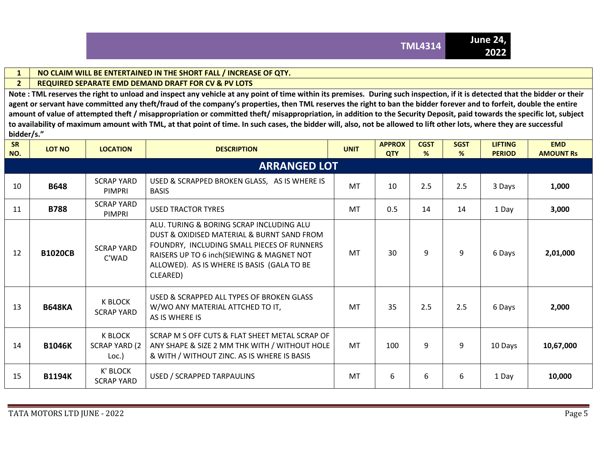#### **1 NO CLAIM WILL BE ENTERTAINED IN THE SHORT FALL / INCREASE OF QTY.**

## **2 REQUIRED SEPARATE EMD DEMAND DRAFT FOR CV & PV LOTS**

**Note : TML reserves the right to unload and inspect any vehicle at any point of time within its premises. During such inspection, if it is detected that the bidder or their**  agent or servant have committed any theft/fraud of the company's properties, then TML reserves the right to ban the bidder forever and to forfeit, double the entire **amount of value of attempted theft / misappropriation or committed theft/ misappropriation, in addition to the Security Deposit, paid towards the specific lot, subject to availability of maximum amount with TML, at that point of time. In such cases, the bidder will, also, not be allowed to lift other lots, where they are successful bidder/s."**

| <b>SR</b><br>NO. | <b>LOT NO</b>  | <b>LOCATION</b>                                  | <b>DESCRIPTION</b>                                                                                                                                                                                                                          | <b>UNIT</b> | <b>APPROX</b><br><b>QTY</b> | <b>CGST</b><br>% | <b>SGST</b><br>% | <b>LIFTING</b><br><b>PERIOD</b> | <b>EMD</b><br><b>AMOUNT Rs</b> |
|------------------|----------------|--------------------------------------------------|---------------------------------------------------------------------------------------------------------------------------------------------------------------------------------------------------------------------------------------------|-------------|-----------------------------|------------------|------------------|---------------------------------|--------------------------------|
|                  |                |                                                  | <b>ARRANGED LOT</b>                                                                                                                                                                                                                         |             |                             |                  |                  |                                 |                                |
| 10               | <b>B648</b>    | <b>SCRAP YARD</b><br>PIMPRI                      | USED & SCRAPPED BROKEN GLASS, AS IS WHERE IS<br><b>BASIS</b>                                                                                                                                                                                | <b>MT</b>   | 10                          | 2.5              | 2.5              | 3 Days                          | 1,000                          |
| 11               | <b>B788</b>    | <b>SCRAP YARD</b><br>PIMPRI                      | <b>USED TRACTOR TYRES</b>                                                                                                                                                                                                                   | <b>MT</b>   | 0.5                         | 14               | 14               | 1 Day                           | 3,000                          |
| 12               | <b>B1020CB</b> | <b>SCRAP YARD</b><br>C'WAD                       | ALU. TURING & BORING SCRAP INCLUDING ALU<br>DUST & OXIDISED MATERIAL & BURNT SAND FROM<br>FOUNDRY, INCLUDING SMALL PIECES OF RUNNERS<br>RAISERS UP TO 6 inch(SIEWING & MAGNET NOT<br>ALLOWED). AS IS WHERE IS BASIS (GALA TO BE<br>CLEARED) | <b>MT</b>   | 30                          | 9                | 9                | 6 Days                          | 2,01,000                       |
| 13               | <b>B648KA</b>  | <b>K BLOCK</b><br><b>SCRAP YARD</b>              | USED & SCRAPPED ALL TYPES OF BROKEN GLASS<br>W/WO ANY MATERIAL ATTCHED TO IT,<br>AS IS WHERE IS                                                                                                                                             | <b>MT</b>   | 35                          | 2.5              | 2.5              | 6 Days                          | 2,000                          |
| 14               | <b>B1046K</b>  | <b>K BLOCK</b><br><b>SCRAP YARD (2)</b><br>Loc.) | SCRAP M S OFF CUTS & FLAT SHEET METAL SCRAP OF<br>ANY SHAPE & SIZE 2 MM THK WITH / WITHOUT HOLE<br>& WITH / WITHOUT ZINC. AS IS WHERE IS BASIS                                                                                              | <b>MT</b>   | 100                         | 9                | 9                | 10 Days                         | 10,67,000                      |
| 15               | <b>B1194K</b>  | K' BLOCK<br><b>SCRAP YARD</b>                    | USED / SCRAPPED TARPAULINS                                                                                                                                                                                                                  | <b>MT</b>   | 6                           | 6                | 6                | 1 Day                           | 10,000                         |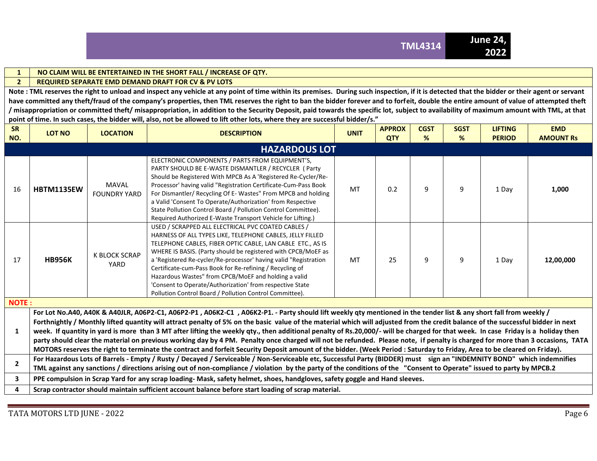#### **1 NO CLAIM WILL BE ENTERTAINED IN THE SHORT FALL / INCREASE OF QTY.**

#### **2 REQUIRED SEPARATE EMD DEMAND DRAFT FOR CV & PV LOTS**

**Note : TML reserves the right to unload and inspect any vehicle at any point of time within its premises. During such inspection, if it is detected that the bidder or their agent or servant**  have committed any theft/fraud of the company's properties, then TML reserves the right to ban the bidder forever and to forfeit, double the entire amount of value of attempted theft **/ misappropriation or committed theft/ misappropriation, in addition to the Security Deposit, paid towards the specific lot, subject to availability of maximum amount with TML, at that point of time. In such cases, the bidder will, also, not be allowed to lift other lots, where they are successful bidder/s."**

| <b>LOT NO</b>     | <b>LOCATION</b>                     | <b>DESCRIPTION</b>                                                                                                                                                                                                                                                                                                                                                                                                                                                                                                                                            | <b>UNIT</b> | <b>APPROX</b><br><b>QTY</b>                                                                                                 | <b>CGST</b><br>% | <b>SGST</b><br>%                                                                                                           | <b>LIFTING</b><br><b>PERIOD</b> | <b>EMD</b><br><b>AMOUNT Rs</b>                                                                                                                                                                                                                                                                                                                                                                                                                                                                                                                                                                                                                                                                                                                                                                                                                                                                                                                                                                                                                                                                                                                                                                                                                              |
|-------------------|-------------------------------------|---------------------------------------------------------------------------------------------------------------------------------------------------------------------------------------------------------------------------------------------------------------------------------------------------------------------------------------------------------------------------------------------------------------------------------------------------------------------------------------------------------------------------------------------------------------|-------------|-----------------------------------------------------------------------------------------------------------------------------|------------------|----------------------------------------------------------------------------------------------------------------------------|---------------------------------|-------------------------------------------------------------------------------------------------------------------------------------------------------------------------------------------------------------------------------------------------------------------------------------------------------------------------------------------------------------------------------------------------------------------------------------------------------------------------------------------------------------------------------------------------------------------------------------------------------------------------------------------------------------------------------------------------------------------------------------------------------------------------------------------------------------------------------------------------------------------------------------------------------------------------------------------------------------------------------------------------------------------------------------------------------------------------------------------------------------------------------------------------------------------------------------------------------------------------------------------------------------|
|                   |                                     |                                                                                                                                                                                                                                                                                                                                                                                                                                                                                                                                                               |             |                                                                                                                             |                  |                                                                                                                            |                                 |                                                                                                                                                                                                                                                                                                                                                                                                                                                                                                                                                                                                                                                                                                                                                                                                                                                                                                                                                                                                                                                                                                                                                                                                                                                             |
| <b>HBTM1135EW</b> | <b>MAVAL</b><br><b>FOUNDRY YARD</b> | ELECTRONIC COMPONENTS / PARTS FROM EQUIPMENT'S,<br>PARTY SHOULD BE E-WASTE DISMANTLER / RECYCLER ( Party<br>Should be Registered With MPCB As A 'Registered Re-Cycler/Re-<br>Processor' having valid "Registration Certificate-Cum-Pass Book<br>For Dismantler/ Recycling Of E- Wastes" From MPCB and holding<br>a Valid 'Consent To Operate/Authorization' from Respective<br>State Pollution Control Board / Pollution Control Committee).<br>Required Authorized E-Waste Transport Vehicle for Lifting.)                                                   | <b>MT</b>   | 0.2                                                                                                                         | 9                | 9                                                                                                                          | 1 Day                           | 1,000                                                                                                                                                                                                                                                                                                                                                                                                                                                                                                                                                                                                                                                                                                                                                                                                                                                                                                                                                                                                                                                                                                                                                                                                                                                       |
| <b>HB956K</b>     | <b>K BLOCK SCRAP</b><br>YARD        | USED / SCRAPPED ALL ELECTRICAL PVC COATED CABLES /<br>HARNESS OF ALL TYPES LIKE, TELEPHONE CABLES, JELLY FILLED<br>TELEPHONE CABLES, FIBER OPTIC CABLE, LAN CABLE ETC., AS IS<br>WHERE IS BASIS. (Party should be registered with CPCB/MoEF as<br>a 'Registered Re-cycler/Re-processor' having valid "Registration<br>Certificate-cum-Pass Book for Re-refining / Recycling of<br>Hazardous Wastes" from CPCB/MoEF and holding a valid<br>'Consent to Operate/Authorization' from respective State<br>Pollution Control Board / Pollution Control Committee). | MT          | 25                                                                                                                          | 9                | 9                                                                                                                          | 1 Day                           | 12,00,000                                                                                                                                                                                                                                                                                                                                                                                                                                                                                                                                                                                                                                                                                                                                                                                                                                                                                                                                                                                                                                                                                                                                                                                                                                                   |
|                   |                                     |                                                                                                                                                                                                                                                                                                                                                                                                                                                                                                                                                               |             |                                                                                                                             |                  |                                                                                                                            |                                 |                                                                                                                                                                                                                                                                                                                                                                                                                                                                                                                                                                                                                                                                                                                                                                                                                                                                                                                                                                                                                                                                                                                                                                                                                                                             |
|                   |                                     |                                                                                                                                                                                                                                                                                                                                                                                                                                                                                                                                                               |             |                                                                                                                             |                  |                                                                                                                            |                                 |                                                                                                                                                                                                                                                                                                                                                                                                                                                                                                                                                                                                                                                                                                                                                                                                                                                                                                                                                                                                                                                                                                                                                                                                                                                             |
|                   |                                     |                                                                                                                                                                                                                                                                                                                                                                                                                                                                                                                                                               |             |                                                                                                                             |                  |                                                                                                                            |                                 |                                                                                                                                                                                                                                                                                                                                                                                                                                                                                                                                                                                                                                                                                                                                                                                                                                                                                                                                                                                                                                                                                                                                                                                                                                                             |
|                   |                                     |                                                                                                                                                                                                                                                                                                                                                                                                                                                                                                                                                               |             |                                                                                                                             |                  |                                                                                                                            |                                 |                                                                                                                                                                                                                                                                                                                                                                                                                                                                                                                                                                                                                                                                                                                                                                                                                                                                                                                                                                                                                                                                                                                                                                                                                                                             |
|                   | <b>NOTE:</b>                        |                                                                                                                                                                                                                                                                                                                                                                                                                                                                                                                                                               |             | <b>HAZARDOUS LOT</b><br>Scrap contractor should maintain sufficient account balance before start loading of scrap material. |                  | PPE compulsion in Scrap Yard for any scrap loading-Mask, safety helmet, shoes, handgloves, safety goggle and Hand sleeves. |                                 | For Lot No.A40, A40K & A40JLR, A06P2-C1, A06P2-P1, A06K2-C1, A06K2-P1. - Party should lift weekly qty mentioned in the tender list & any short fall from weekly /<br>Forthnightly / Monthly lifted quantity will attract penalty of 5% on the basic value of the material which will adjusted from the credit balance of the successful bidder in next<br>week. If quantity in yard is more than 3 MT after lifting the weekly qty., then additional penalty of Rs.20,000/- will be charged for that week. In case Friday is a holiday then<br>party should clear the material on previous working day by 4 PM. Penalty once charged will not be refunded. Please note, if penalty is charged for more than 3 occasions, TATA<br>MOTORS reserves the right to terminate the contract and forfeit Security Deposit amount of the bidder. (Week Period: Saturday to Friday, Area to be cleared on Friday).<br>For Hazardous Lots of Barrels - Empty / Rusty / Decayed / Serviceable / Non-Serviceable etc, Successful Party (BIDDER) must sign an "INDEMNITY BOND" which indemnifies<br>TML against any sanctions / directions arising out of non-compliance / violation by the party of the conditions of the "Consent to Operate" issued to party by MPCB.2 |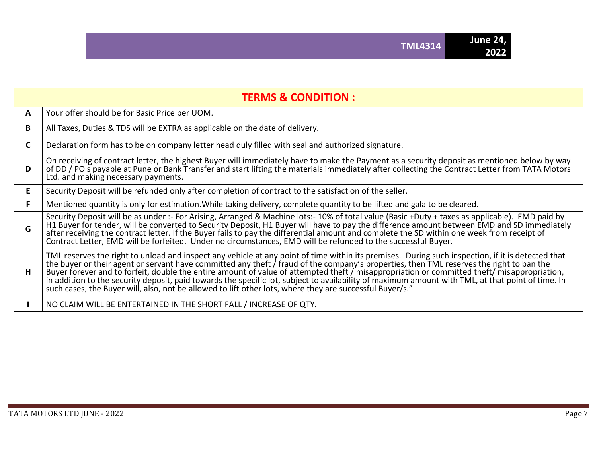|    | <b>TERMS &amp; CONDITION:</b>                                                                                                                                                                                                                                                                                                                                                                                                                                                                                                                                                                                                                                                                                 |
|----|---------------------------------------------------------------------------------------------------------------------------------------------------------------------------------------------------------------------------------------------------------------------------------------------------------------------------------------------------------------------------------------------------------------------------------------------------------------------------------------------------------------------------------------------------------------------------------------------------------------------------------------------------------------------------------------------------------------|
| A  | Your offer should be for Basic Price per UOM.                                                                                                                                                                                                                                                                                                                                                                                                                                                                                                                                                                                                                                                                 |
| B. | All Taxes, Duties & TDS will be EXTRA as applicable on the date of delivery.                                                                                                                                                                                                                                                                                                                                                                                                                                                                                                                                                                                                                                  |
| C. | Declaration form has to be on company letter head duly filled with seal and authorized signature.                                                                                                                                                                                                                                                                                                                                                                                                                                                                                                                                                                                                             |
| D  | On receiving of contract letter, the highest Buyer will immediately have to make the Payment as a security deposit as mentioned below by way<br>of DD / PO's payable at Pune or Bank Transfer and start lifting the materials immediately after collecting the Contract Letter from TATA Motors<br>Ltd. and making necessary payments.                                                                                                                                                                                                                                                                                                                                                                        |
| E. | Security Deposit will be refunded only after completion of contract to the satisfaction of the seller.                                                                                                                                                                                                                                                                                                                                                                                                                                                                                                                                                                                                        |
| F. | Mentioned quantity is only for estimation. While taking delivery, complete quantity to be lifted and gala to be cleared.                                                                                                                                                                                                                                                                                                                                                                                                                                                                                                                                                                                      |
| G  | Security Deposit will be as under :- For Arising, Arranged & Machine lots:- 10% of total value (Basic +Duty + taxes as applicable). EMD paid by<br>H1 Buyer for tender, will be converted to Security Deposit, H1 Buyer will have to pay the difference amount between EMD and SD immediately after receiving the contract letter. If the Buyer fails to pay the differential amo<br>Contract Letter, EMD will be forfeited. Under no circumstances, EMD will be refunded to the successful Buyer.                                                                                                                                                                                                            |
| H  | TML reserves the right to unload and inspect any vehicle at any point of time within its premises. During such inspection, if it is detected that<br>the buyer or their agent or servant have committed any theft / fraud of the company's properties, then TML reserves the right to ban the<br>Buyer forever and to forfeit, double the entire amount of value of attempted theft / misappropriation or committed theft/ misappropriation,<br>in addition to the security deposit, paid towards the specific lot, subject to availability of maximum amount with TML, at that point of time. In<br>such cases, the Buyer will, also, not be allowed to lift other lots, where they are successful Buyer/s." |
|    | NO CLAIM WILL BE ENTERTAINED IN THE SHORT FALL / INCREASE OF QTY.                                                                                                                                                                                                                                                                                                                                                                                                                                                                                                                                                                                                                                             |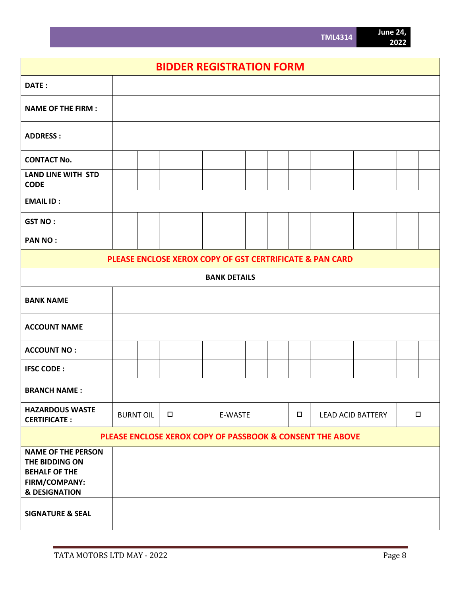# **BIDDER REGISTRATION FORM**

| DATE:                                                                                                            |                                                           |  |        |  |  |         |  |  |        |  |                          |        |  |
|------------------------------------------------------------------------------------------------------------------|-----------------------------------------------------------|--|--------|--|--|---------|--|--|--------|--|--------------------------|--------|--|
| <b>NAME OF THE FIRM:</b>                                                                                         |                                                           |  |        |  |  |         |  |  |        |  |                          |        |  |
| <b>ADDRESS:</b>                                                                                                  |                                                           |  |        |  |  |         |  |  |        |  |                          |        |  |
| <b>CONTACT No.</b>                                                                                               |                                                           |  |        |  |  |         |  |  |        |  |                          |        |  |
| <b>LAND LINE WITH STD</b><br><b>CODE</b>                                                                         |                                                           |  |        |  |  |         |  |  |        |  |                          |        |  |
| <b>EMAIL ID:</b>                                                                                                 |                                                           |  |        |  |  |         |  |  |        |  |                          |        |  |
| <b>GST NO:</b>                                                                                                   |                                                           |  |        |  |  |         |  |  |        |  |                          |        |  |
| <b>PAN NO:</b>                                                                                                   |                                                           |  |        |  |  |         |  |  |        |  |                          |        |  |
| PLEASE ENCLOSE XEROX COPY OF GST CERTRIFICATE & PAN CARD                                                         |                                                           |  |        |  |  |         |  |  |        |  |                          |        |  |
| <b>BANK DETAILS</b>                                                                                              |                                                           |  |        |  |  |         |  |  |        |  |                          |        |  |
| <b>BANK NAME</b>                                                                                                 |                                                           |  |        |  |  |         |  |  |        |  |                          |        |  |
| <b>ACCOUNT NAME</b>                                                                                              |                                                           |  |        |  |  |         |  |  |        |  |                          |        |  |
| <b>ACCOUNT NO:</b>                                                                                               |                                                           |  |        |  |  |         |  |  |        |  |                          |        |  |
| <b>IFSC CODE:</b>                                                                                                |                                                           |  |        |  |  |         |  |  |        |  |                          |        |  |
| <b>BRANCH NAME:</b>                                                                                              |                                                           |  |        |  |  |         |  |  |        |  |                          |        |  |
| <b>HAZARDOUS WASTE</b><br><b>CERTIFICATE:</b>                                                                    | <b>BURNT OIL</b>                                          |  | $\Box$ |  |  | E-WASTE |  |  | $\Box$ |  | <b>LEAD ACID BATTERY</b> | $\Box$ |  |
|                                                                                                                  | PLEASE ENCLOSE XEROX COPY OF PASSBOOK & CONSENT THE ABOVE |  |        |  |  |         |  |  |        |  |                          |        |  |
| <b>NAME OF THE PERSON</b><br>THE BIDDING ON<br><b>BEHALF OF THE</b><br>FIRM/COMPANY:<br><b>&amp; DESIGNATION</b> |                                                           |  |        |  |  |         |  |  |        |  |                          |        |  |
| <b>SIGNATURE &amp; SEAL</b>                                                                                      |                                                           |  |        |  |  |         |  |  |        |  |                          |        |  |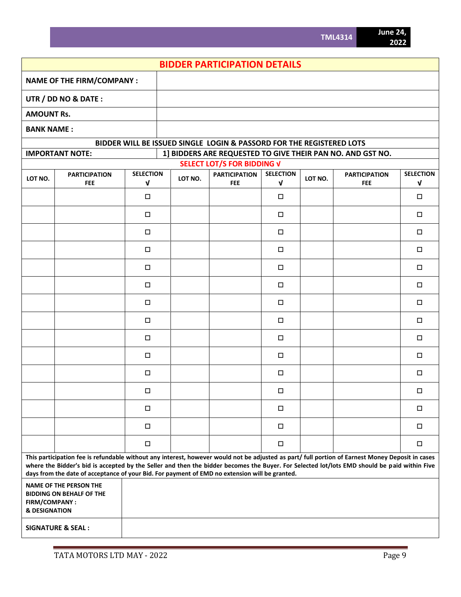|                                           | <b>BIDDER PARTICIPATION DETAILS</b>                                                                                                                                                                                                                                                                                                                                                                |                  |                                                                                                                           |                                                                      |              |         |            |              |  |  |  |  |
|-------------------------------------------|----------------------------------------------------------------------------------------------------------------------------------------------------------------------------------------------------------------------------------------------------------------------------------------------------------------------------------------------------------------------------------------------------|------------------|---------------------------------------------------------------------------------------------------------------------------|----------------------------------------------------------------------|--------------|---------|------------|--------------|--|--|--|--|
|                                           | <b>NAME OF THE FIRM/COMPANY:</b>                                                                                                                                                                                                                                                                                                                                                                   |                  |                                                                                                                           |                                                                      |              |         |            |              |  |  |  |  |
|                                           | UTR / DD NO & DATE:                                                                                                                                                                                                                                                                                                                                                                                |                  |                                                                                                                           |                                                                      |              |         |            |              |  |  |  |  |
| <b>AMOUNT Rs.</b>                         |                                                                                                                                                                                                                                                                                                                                                                                                    |                  |                                                                                                                           |                                                                      |              |         |            |              |  |  |  |  |
| <b>BANK NAME:</b>                         |                                                                                                                                                                                                                                                                                                                                                                                                    |                  |                                                                                                                           |                                                                      |              |         |            |              |  |  |  |  |
|                                           |                                                                                                                                                                                                                                                                                                                                                                                                    |                  |                                                                                                                           | BIDDER WILL BE ISSUED SINGLE LOGIN & PASSORD FOR THE REGISTERED LOTS |              |         |            |              |  |  |  |  |
|                                           | <b>IMPORTANT NOTE:</b>                                                                                                                                                                                                                                                                                                                                                                             |                  | 1] BIDDERS ARE REQUESTED TO GIVE THEIR PAN NO. AND GST NO.                                                                |                                                                      |              |         |            |              |  |  |  |  |
|                                           | <b>PARTICIPATION</b>                                                                                                                                                                                                                                                                                                                                                                               | <b>SELECTION</b> | <b>SELECT LOT/S FOR BIDDING V</b><br><b>SELECTION</b><br><b>SELECTION</b><br><b>PARTICIPATION</b><br><b>PARTICIPATION</b> |                                                                      |              |         |            |              |  |  |  |  |
| LOT NO.                                   | <b>FEE</b>                                                                                                                                                                                                                                                                                                                                                                                         | $\mathbf{v}$     | LOT NO.                                                                                                                   | <b>FEE</b>                                                           | $\mathbf{v}$ | LOT NO. | <b>FEE</b> | $\mathbf{v}$ |  |  |  |  |
|                                           |                                                                                                                                                                                                                                                                                                                                                                                                    | $\Box$           |                                                                                                                           |                                                                      | □            |         |            | □            |  |  |  |  |
|                                           |                                                                                                                                                                                                                                                                                                                                                                                                    | $\Box$           |                                                                                                                           |                                                                      | $\Box$       |         |            | $\Box$       |  |  |  |  |
|                                           |                                                                                                                                                                                                                                                                                                                                                                                                    | $\Box$           |                                                                                                                           |                                                                      | $\Box$       |         |            | $\Box$       |  |  |  |  |
|                                           |                                                                                                                                                                                                                                                                                                                                                                                                    | $\Box$           |                                                                                                                           |                                                                      | $\Box$       |         |            | $\Box$       |  |  |  |  |
|                                           |                                                                                                                                                                                                                                                                                                                                                                                                    | $\Box$           |                                                                                                                           |                                                                      | $\Box$       |         |            | $\Box$       |  |  |  |  |
|                                           |                                                                                                                                                                                                                                                                                                                                                                                                    | $\Box$           |                                                                                                                           |                                                                      | $\Box$       |         |            | $\Box$       |  |  |  |  |
|                                           |                                                                                                                                                                                                                                                                                                                                                                                                    | $\Box$           |                                                                                                                           |                                                                      | □            |         |            | $\Box$       |  |  |  |  |
|                                           |                                                                                                                                                                                                                                                                                                                                                                                                    | $\Box$           |                                                                                                                           |                                                                      | $\Box$       |         |            | $\Box$       |  |  |  |  |
|                                           |                                                                                                                                                                                                                                                                                                                                                                                                    | $\Box$           |                                                                                                                           |                                                                      | □            |         |            | $\Box$       |  |  |  |  |
|                                           |                                                                                                                                                                                                                                                                                                                                                                                                    | $\Box$           |                                                                                                                           |                                                                      | $\Box$       |         |            | $\Box$       |  |  |  |  |
|                                           |                                                                                                                                                                                                                                                                                                                                                                                                    | $\Box$           |                                                                                                                           |                                                                      | $\Box$       |         |            | $\Box$       |  |  |  |  |
|                                           |                                                                                                                                                                                                                                                                                                                                                                                                    | $\Box$           |                                                                                                                           |                                                                      | $\Box$       |         |            | $\Box$       |  |  |  |  |
|                                           |                                                                                                                                                                                                                                                                                                                                                                                                    | $\Box$           |                                                                                                                           |                                                                      | □            |         |            | □            |  |  |  |  |
|                                           |                                                                                                                                                                                                                                                                                                                                                                                                    | $\Box$           |                                                                                                                           |                                                                      | 0            |         |            |              |  |  |  |  |
|                                           |                                                                                                                                                                                                                                                                                                                                                                                                    | $\Box$           |                                                                                                                           |                                                                      | $\Box$       |         |            | $\Box$       |  |  |  |  |
|                                           | This participation fee is refundable without any interest, however would not be adjusted as part/ full portion of Earnest Money Deposit in cases<br>where the Bidder's bid is accepted by the Seller and then the bidder becomes the Buyer. For Selected lot/lots EMD should be paid within Five<br>days from the date of acceptance of your Bid. For payment of EMD no extension will be granted. |                  |                                                                                                                           |                                                                      |              |         |            |              |  |  |  |  |
| FIRM/COMPANY:<br><b>&amp; DESIGNATION</b> | <b>NAME OF THE PERSON THE</b><br><b>BIDDING ON BEHALF OF THE</b>                                                                                                                                                                                                                                                                                                                                   |                  |                                                                                                                           |                                                                      |              |         |            |              |  |  |  |  |
|                                           | <b>SIGNATURE &amp; SEAL:</b>                                                                                                                                                                                                                                                                                                                                                                       |                  |                                                                                                                           |                                                                      |              |         |            |              |  |  |  |  |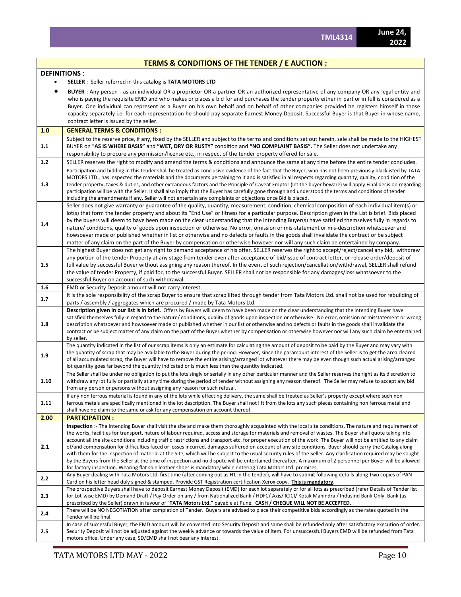#### **TERMS & CONDITIONS OF THE TENDER / E AUCTION :**

#### **DEFINITIONS** :

**SELLER** : Seller referred in this catalog is **TATA MOTORS LTD**

 **BUYER** : Any person - as an individual OR a proprietor OR a partner OR an authorized representative of any company OR any legal entity and who is paying the requisite EMD and who makes or places a bid for and purchases the tender property either in part or in full is considered as a Buyer. One individual can represent as a Buyer on his own behalf and on behalf of other companies provided he registers himself in those capacity separately i.e. for each representation he should pay separate Earnest Money Deposit. Successful Buyer is that Buyer in whose name, contract letter is issued by the seller.

**1.0 GENERAL TERMS & CONDITIONS : 1.1** Subject to the reserve price, if any, fixed by the SELLER and subject to the terms and conditions set out herein, sale shall be made to the HIGHEST BUYER on "**AS IS WHERE BASIS"** and **"WET, DRY OR RUSTY"** condition and **"NO COMPLAINT BASIS".** The Seller does not undertake any responsibility to procure any permission/license etc., in respect of the tender property offered for sale. **1.2** SELLER reserves the right to modify and amend the terms & conditions and announce the same at any time before the entire tender concludes. **1.3** Participation and bidding in this tender shall be treated as conclusive evidence of the fact that the Buyer, who has not been previously blacklisted by TATA MOTORS LTD., has inspected the materials and the documents pertaining to it and is satisfied in all respects regarding quantity, quality, condition of the tender property, taxes & duties, and other extraneous factors and the Principle of Caveat Emptor (let the buyer beware) will apply.Final decision regarding participation will be with the Seller. It shall also imply that the Buyer has carefully gone through and understood the terms and conditions of tender including the amendments if any. Seller will not entertain any complaints or objections once Bid is placed. **1.4** Seller does not give warranty or guarantee of the quality, quantity, measurement, condition, chemical composition of each individual item(s) or lot(s) that form the tender property and about its "End Use" or fitness for a particular purpose. Description given in the List is brief. Bids placed by the buyers will deem to have been made on the clear understanding that the intending Buyer(s) have satisfied themselves fully in regards to nature/ conditions, quality of goods upon inspection or otherwise. No error, omission or mis-statement or mis-description whatsoever and howsoever made or published whether in list or otherwise and no defects or faults in the goods shall invalidate the contract or be subject matter of any claim on the part of the Buyer by compensation or otherwise however nor will any such claim be entertained by company. **1.5** The highest Buyer does not get any right to demand acceptance of his offer. SELLER reserves the right to accept/reject/cancel any bid, withdraw any portion of the tender Property at any stage from tender even after acceptance of bid/issue of contract letter, or release order/deposit of full value by successful Buyer without assigning any reason thereof. In the event of such rejection/cancellation/withdrawal, SELLER shall refund the value of tender Property, if paid for, to the successful Buyer. SELLER shall not be responsible for any damages/loss whatsoever to the successful Buyer on account of such withdrawal. **1.6** EMD or Security Deposit amount will not carry interest. **1.7** It is the sole responsibility of the scrap Buyer to ensure that scrap lifted through tender from Tata Motors Ltd. shall not be used for rebuilding of parts / assembly / aggregates which are procured / made by Tata Motors Ltd. **1.8 Description given in our list is in brief.** Offers by Buyers will deem to have been made on the clear understanding that the intending Buyer have satisfied themselves fully in regard to the nature/ conditions, quality of goods upon inspection or otherwise. No error, omission or misstatement or wrong description whatsoever and howsoever made or published whether in our list or otherwise and no defects or faults in the goods shall invalidate the contract or be subject matter of any claim on the part of the Buyer whether by compensation or otherwise however nor will any such claim be entertained by seller. **1.9** The quantity indicated in the list of our scrap items is only an estimate for calculating the amount of deposit to be paid by the Buyer and may vary with the quantity of scrap that may be available to the Buyer during the period. However, since the paramount interest of the Seller is to get the area cleared of all accumulated scrap, the Buyer will have to remove the entire arising/arranged lot whatever there may be even though such actual arising/arranged lot quantity goes far beyond the quantity indicated or is much less than the quantity indicated. **1.10** The Seller shall be under no obligation to put the lots singly or serially in any other particular manner and the Seller reserves the right as its discretion to withdraw any lot fully or partially at any time during the period of tender without assigning any reason thereof. The Seller may refuse to accept any bid from any person or persons without assigning any reason for such refusal. **1.11** If any non ferrous material is found in any of the lots while effecting delivery, the same shall be treated as Seller's property except where such non ferrous metals are specifically mentioned in the lot description. The Buyer shall not lift from the lots any such pieces containing non ferrous metal and shall have no claim to the same or ask for any compensation on account thereof. **2.00 PARTICIPATION : 2.1 Inspection** :- The Intending Buyer shall visit the site and make them thoroughly acquainted with the local site conditions, The nature and requirement of the works, facilities for transport, nature of labour required, access and storage for materials and removal of wastes. The Buyer shall quote taking into account all the site conditions including traffic restrictions and transport etc. for proper execution of the work. The Buyer will not be entitled to any claim of/and compensation for difficulties faced or losses incurred, damages suffered on account of any site conditions. Buyer should carry the Catalog along with them for the inspection of material at the Site, which will be subject to the usual security rules of the Seller. Any clarification required may be sought by the Buyers from the Seller at the time of inspection and no dispute will be entertained thereafter. A maximum of 2 personnel per Buyer will be allowed for factory inspection. Wearing flat sole leather shoes is mandatory while entering Tata Motors Ltd. premises. 2.2 Any Buyer dealing with Tata Motors Ltd. first time (after coming out as H1 in the tender), will have to submit following details along Two copies of PAN Card on his letter head duly signed & stamped. Provide GST Registration certification Xerox copy. **This is mandatory**. **2.3** The prospective Buyers shall have to deposit Earnest Money Deposit (EMD) for each lot separately or for all lots as prescribed (refer Details of Tender list for Lot-wise EMD) by Demand Draft / Pay Order on any / from Nationalized Bank / HDFC/ Axis/ ICICI/ Kotak Mahindra / IndusInd Bank Only. Bank (as prescribed by the Seller) drawn in favour of "**TATA Motors Ltd."** payable at Pune. **CASH / CHEQUE WILL NOT BE ACCEPTED.** There will be NO NEGOTIATION after completion of Tender. Buyers are advised to place their competitive bids accordingly as the rates quoted in the Tender will be final. **2.5** In case of successful Buyer, the EMD amount will be converted into Security Deposit and same shall be refunded only after satisfactory execution of order. Security Deposit will not be adjusted against the weekly advance or towards the value of item. For unsuccessful Buyers EMD will be refunded from Tata motors office. Under any case, SD/EMD shall not bear any interest.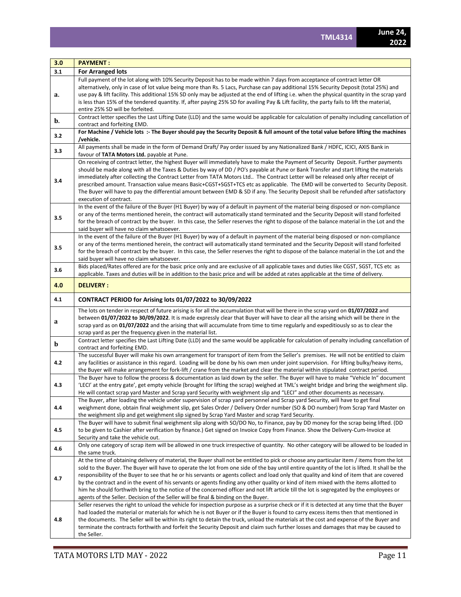| 3.0 | <b>PAYMENT:</b>                                                                                                                                                                                                                                                                                                                                                                                                                                                                                                                                                                                                                                                                                                                                                                                                     |
|-----|---------------------------------------------------------------------------------------------------------------------------------------------------------------------------------------------------------------------------------------------------------------------------------------------------------------------------------------------------------------------------------------------------------------------------------------------------------------------------------------------------------------------------------------------------------------------------------------------------------------------------------------------------------------------------------------------------------------------------------------------------------------------------------------------------------------------|
| 3.1 | <b>For Arranged lots</b>                                                                                                                                                                                                                                                                                                                                                                                                                                                                                                                                                                                                                                                                                                                                                                                            |
|     | Full payment of the lot along with 10% Security Deposit has to be made within 7 days from acceptance of contract letter OR                                                                                                                                                                                                                                                                                                                                                                                                                                                                                                                                                                                                                                                                                          |
| a.  | alternatively, only in case of lot value being more than Rs. 5 Lacs, Purchase can pay additional 15% Security Deposit (total 25%) and<br>use pay & lift facility. This additional 15% SD only may be adjusted at the end of lifting i.e. when the physical quantity in the scrap yard<br>is less than 15% of the tendered quantity. If, after paying 25% SD for availing Pay & Lift facility, the party fails to lift the material,<br>entire 25% SD will be forfeited.                                                                                                                                                                                                                                                                                                                                             |
|     | Contract letter specifies the Last Lifting Date (LLD) and the same would be applicable for calculation of penalty including cancellation of                                                                                                                                                                                                                                                                                                                                                                                                                                                                                                                                                                                                                                                                         |
| b.  | contract and forfeiting EMD.                                                                                                                                                                                                                                                                                                                                                                                                                                                                                                                                                                                                                                                                                                                                                                                        |
| 3.2 | For Machine / Vehicle lots :- The Buyer should pay the Security Deposit & full amount of the total value before lifting the machines<br>/vehicle.                                                                                                                                                                                                                                                                                                                                                                                                                                                                                                                                                                                                                                                                   |
| 3.3 | All payments shall be made in the form of Demand Draft/ Pay order issued by any Nationalized Bank / HDFC, ICICI, AXIS Bank in<br>favour of TATA Motors Ltd. payable at Pune.                                                                                                                                                                                                                                                                                                                                                                                                                                                                                                                                                                                                                                        |
| 3.4 | On receiving of contract letter, the highest Buyer will immediately have to make the Payment of Security Deposit. Further payments<br>should be made along with all the Taxes & Duties by way of DD / PO's payable at Pune or Bank Transfer and start lifting the materials<br>immediately after collecting the Contract Letter from TATA Motors Ltd The Contract Letter will be released only after receipt of<br>prescribed amount. Transaction value means Basic+CGST+SGST+TCS etc as applicable. The EMD will be converted to Security Deposit.<br>The Buyer will have to pay the differential amount between EMD & SD if any. The Security Deposit shall be refunded after satisfactory<br>execution of contract.                                                                                              |
| 3.5 | In the event of the failure of the Buyer (H1 Buyer) by way of a default in payment of the material being disposed or non-compliance<br>or any of the terms mentioned herein, the contract will automatically stand terminated and the Security Deposit will stand forfeited<br>for the breach of contract by the buyer. In this case, the Seller reserves the right to dispose of the balance material in the Lot and the<br>said buyer will have no claim whatsoever.                                                                                                                                                                                                                                                                                                                                              |
| 3.5 | In the event of the failure of the Buyer (H1 Buyer) by way of a default in payment of the material being disposed or non-compliance<br>or any of the terms mentioned herein, the contract will automatically stand terminated and the Security Deposit will stand forfeited<br>for the breach of contract by the buyer. In this case, the Seller reserves the right to dispose of the balance material in the Lot and the<br>said buyer will have no claim whatsoever.                                                                                                                                                                                                                                                                                                                                              |
| 3.6 | Bids placed/Rates offered are for the basic price only and are exclusive of all applicable taxes and duties like CGST, SGST, TCS etc as<br>applicable. Taxes and duties will be in addition to the basic price and will be added at rates applicable at the time of delivery.                                                                                                                                                                                                                                                                                                                                                                                                                                                                                                                                       |
| 4.0 | <b>DELIVERY:</b>                                                                                                                                                                                                                                                                                                                                                                                                                                                                                                                                                                                                                                                                                                                                                                                                    |
| 4.1 | CONTRACT PERIOD for Arising lots 01/07/2022 to 30/09/2022                                                                                                                                                                                                                                                                                                                                                                                                                                                                                                                                                                                                                                                                                                                                                           |
| a   | The lots on tender in respect of future arising is for all the accumulation that will be there in the scrap yard on 01/07/2022 and<br>between 01/07/2022 to 30/09/2022. It is made expressly clear that Buyer will have to clear all the arising which will be there in the<br>scrap yard as on 01/07/2022 and the arising that will accumulate from time to time regularly and expeditiously so as to clear the<br>scrap yard as per the frequency given in the material list.                                                                                                                                                                                                                                                                                                                                     |
| b   | Contract letter specifies the Last Lifting Date (LLD) and the same would be applicable for calculation of penalty including cancellation of<br>contract and forfeiting EMD.                                                                                                                                                                                                                                                                                                                                                                                                                                                                                                                                                                                                                                         |
| 4.2 | The successful Buyer will make his own arrangement for transport of item from the Seller's premises. He will not be entitled to claim<br>any facilities or assistance in this regard. Loading will be done by his own men under joint supervision. For lifting bulky/heavy items,<br>the Buyer will make arrangement for fork-lift / crane from the market and clear the material within stipulated contract period.                                                                                                                                                                                                                                                                                                                                                                                                |
| 4.3 | The Buyer have to follow the process & documentation as laid down by the seller. The Buyer will have to make "Vehicle In" document<br>'LECI' at the entry gate', get empty vehicle (brought for lifting the scrap) weighed at TML's weight bridge and bring the weighment slip.<br>He will contact scrap yard Master and Scrap yard Security with weighment slip and "LECI" and other documents as necessary.                                                                                                                                                                                                                                                                                                                                                                                                       |
| 4.4 | The Buyer, after loading the vehicle under supervision of scrap yard personnel and Scrap yard Security, will have to get final<br>weighment done, obtain final weighment slip, get Sales Order / Delivery Order number (SO & DO number) from Scrap Yard Master on<br>the weighment slip and get weighment slip signed by Scrap Yard Master and scrap Yard Security.                                                                                                                                                                                                                                                                                                                                                                                                                                                 |
| 4.5 | The Buyer will have to submit final weighment slip along with SO/DO No, to Finance, pay by DD money for the scrap being lifted. (DD<br>to be given to Cashier after verification by finance.) Get signed on Invoice Copy from Finance. Show the Delivery-Cum-Invoice at<br>Security and take the vehicle out.                                                                                                                                                                                                                                                                                                                                                                                                                                                                                                       |
| 4.6 | Only one category of scrap item will be allowed in one truck irrespective of quantity. No other category will be allowed to be loaded in<br>the same truck.                                                                                                                                                                                                                                                                                                                                                                                                                                                                                                                                                                                                                                                         |
| 4.7 | At the time of obtaining delivery of material, the Buyer shall not be entitled to pick or choose any particular item / items from the lot<br>sold to the Buyer. The Buyer will have to operate the lot from one side of the bay until entire quantity of the lot is lifted. It shall be the<br>responsibility of the Buyer to see that he or his servants or agents collect and load only that quality and kind of item that are covered<br>by the contract and in the event of his servants or agents finding any other quality or kind of item mixed with the items allotted to<br>him he should forthwith bring to the notice of the concerned officer and not lift article till the lot is segregated by the employees or<br>agents of the Seller. Decision of the Seller will be final & binding on the Buyer. |
| 4.8 | Seller reserves the right to unload the vehicle for inspection purpose as a surprise check or if it is detected at any time that the Buyer<br>had loaded the material or materials for which he is not Buyer or if the Buyer is found to carry excess items then that mentioned in<br>the documents. The Seller will be within its right to detain the truck, unload the materials at the cost and expense of the Buyer and<br>terminate the contracts forthwith and forfeit the Security Deposit and claim such further losses and damages that may be caused to<br>the Seller.                                                                                                                                                                                                                                    |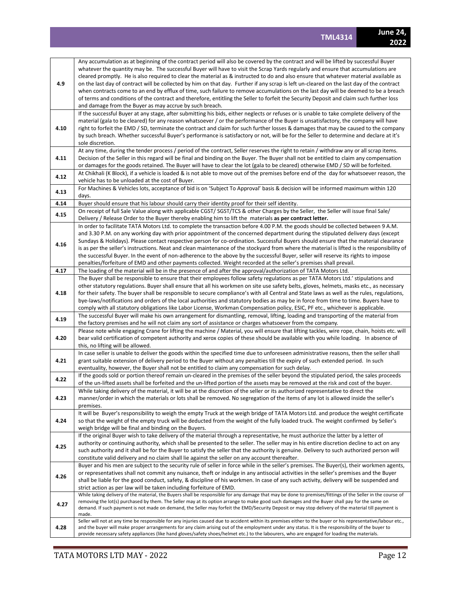| 4.9  | Any accumulation as at beginning of the contract period will also be covered by the contract and will be lifted by successful Buyer<br>whatever the quantity may be. The successful Buyer will have to visit the Scrap Yards regularly and ensure that accumulations are<br>cleared promptly. He is also required to clear the material as & instructed to do and also ensure that whatever material available as<br>on the last day of contract will be collected by him on that day. Further if any scrap is left un-cleared on the last day of the contract<br>when contracts come to an end by efflux of time, such failure to remove accumulations on the last day will be deemed to be a breach<br>of terms and conditions of the contract and therefore, entitling the Seller to forfeit the Security Deposit and claim such further loss<br>and damage from the Buyer as may accrue by such breach. |
|------|-------------------------------------------------------------------------------------------------------------------------------------------------------------------------------------------------------------------------------------------------------------------------------------------------------------------------------------------------------------------------------------------------------------------------------------------------------------------------------------------------------------------------------------------------------------------------------------------------------------------------------------------------------------------------------------------------------------------------------------------------------------------------------------------------------------------------------------------------------------------------------------------------------------|
| 4.10 | If the successful Buyer at any stage, after submitting his bids, either neglects or refuses or is unable to take complete delivery of the<br>material (gala to be cleared) for any reason whatsoever / or the performance of the Buyer is unsatisfactory, the company will have<br>right to forfeit the EMD / SD, terminate the contract and claim for such further losses & damages that may be caused to the company<br>by such breach. Whether successful Buyer's performance is satisfactory or not, will be for the Seller to determine and declare at it's<br>sole discretion.                                                                                                                                                                                                                                                                                                                        |
| 4.11 | At any time, during the tender process / period of the contract, Seller reserves the right to retain / withdraw any or all scrap items.<br>Decision of the Seller in this regard will be final and binding on the Buyer. The Buyer shall not be entitled to claim any compensation<br>or damages for the goods retained. The Buyer will have to clear the lot (gala to be cleared) otherwise EMD / SD will be forfeited.                                                                                                                                                                                                                                                                                                                                                                                                                                                                                    |
| 4.12 | At Chikhali (K Block), if a vehicle is loaded & is not able to move out of the premises before end of the day for whatsoever reason, the<br>vehicle has to be unloaded at the cost of Buyer.                                                                                                                                                                                                                                                                                                                                                                                                                                                                                                                                                                                                                                                                                                                |
| 4.13 | For Machines & Vehicles lots, acceptance of bid is on 'Subject To Approval' basis & decision will be informed maximum within 120<br>days.                                                                                                                                                                                                                                                                                                                                                                                                                                                                                                                                                                                                                                                                                                                                                                   |
| 4.14 | Buyer should ensure that his labour should carry their identity proof for their self identity.                                                                                                                                                                                                                                                                                                                                                                                                                                                                                                                                                                                                                                                                                                                                                                                                              |
| 4.15 | On receipt of full Sale Value along with applicable CGST/ SGST/TCS & other Charges by the Seller, the Seller will issue final Sale/<br>Delivery / Release Order to the Buyer thereby enabling him to lift the materials as per contract letter.                                                                                                                                                                                                                                                                                                                                                                                                                                                                                                                                                                                                                                                             |
| 4.16 | In order to facilitate TATA Motors Ltd. to complete the transaction before 4.00 P.M. the goods should be collected between 9 A.M.<br>and 3.30 P.M. on any working day with prior appointment of the concerned department during the stipulated delivery days (except<br>Sundays & Holidays). Please contact respective person for co-ordination. Successful Buyers should ensure that the material clearance<br>is as per the seller's instructions. Neat and clean maintenance of the stockyard from where the material is lifted is the responsibility of<br>the successful Buyer. In the event of non-adherence to the above by the successful Buyer, seller will reserve its rights to impose<br>penalties/forfeiture of EMD and other payments collected. Weight recorded at the seller's premises shall prevail.                                                                                      |
| 4.17 | The loading of the material will be in the presence of and after the approval/authorization of TATA Motors Ltd.                                                                                                                                                                                                                                                                                                                                                                                                                                                                                                                                                                                                                                                                                                                                                                                             |
| 4.18 | The Buyer shall be responsible to ensure that their employees follow safety regulations as per TATA Motors Ltd.' stipulations and<br>other statutory regulations. Buyer shall ensure that all his workmen on site use safety belts, gloves, helmets, masks etc., as necessary<br>for their safety. The buyer shall be responsible to secure compliance's with all Central and State laws as well as the rules, regulations,<br>bye-laws/notifications and orders of the local authorities and statutory bodies as may be in force from time to time. Buyers have to<br>comply with all statutory obligations like Labor License, Workman Compensation policy, ESIC, PF etc., whichever is applicable.                                                                                                                                                                                                       |
| 4.19 | The successful Buyer will make his own arrangement for dismantling, removal, lifting, loading and transporting of the material from<br>the factory premises and he will not claim any sort of assistance or charges whatsoever from the company.                                                                                                                                                                                                                                                                                                                                                                                                                                                                                                                                                                                                                                                            |
| 4.20 | Please note while engaging Crane for lifting the machine / Material, you will ensure that lifting tackles, wire rope, chain, hoists etc. will<br>bear valid certification of competent authority and xerox copies of these should be available with you while loading. In absence of<br>this, no lifting will be allowed.                                                                                                                                                                                                                                                                                                                                                                                                                                                                                                                                                                                   |
| 4.21 | In case seller is unable to deliver the goods within the specified time due to unforeseen administrative reasons, then the seller shall<br>grant suitable extension of delivery period to the Buyer without any penalties till the expiry of such extended period. In such<br>eventuality, however, the Buyer shall not be entitled to claim any compensation for such delay.                                                                                                                                                                                                                                                                                                                                                                                                                                                                                                                               |
| 4.22 | If the goods sold or portion thereof remain un-cleared in the premises of the seller beyond the stipulated period, the sales proceeds<br>of the un-lifted assets shall be forfeited and the un-lifted portion of the assets may be removed at the risk and cost of the buyer.                                                                                                                                                                                                                                                                                                                                                                                                                                                                                                                                                                                                                               |
| 4.23 | While taking delivery of the material, it will be at the discretion of the seller or its authorized representative to direct the<br>manner/order in which the materials or lots shall be removed. No segregation of the items of any lot is allowed inside the seller's<br>premises.                                                                                                                                                                                                                                                                                                                                                                                                                                                                                                                                                                                                                        |
| 4.24 | It will be Buyer's responsibility to weigh the empty Truck at the weigh bridge of TATA Motors Ltd. and produce the weight certificate<br>so that the weight of the empty truck will be deducted from the weight of the fully loaded truck. The weight confirmed by Seller's<br>weigh bridge will be final and binding on the Buyers.                                                                                                                                                                                                                                                                                                                                                                                                                                                                                                                                                                        |
| 4.25 | If the original Buyer wish to take delivery of the material through a representative, he must authorize the latter by a letter of<br>authority or continuing authority, which shall be presented to the seller. The seller may in his entire discretion decline to act on any<br>such authority and it shall be for the Buyer to satisfy the seller that the authority is genuine. Delivery to such authorized person will<br>constitute valid delivery and no claim shall lie against the seller on any account thereafter.                                                                                                                                                                                                                                                                                                                                                                                |
| 4.26 | Buyer and his men are subject to the security rule of seller in force while in the seller's premises. The Buyer(s), their workmen agents,<br>or representatives shall not commit any nuisance, theft or indulge in any antisocial activities in the seller's premises and the Buyer<br>shall be liable for the good conduct, safety, & discipline of his workmen. In case of any such activity, delivery will be suspended and<br>strict action as per law will be taken including forfeiture of EMD.                                                                                                                                                                                                                                                                                                                                                                                                       |
| 4.27 | While taking delivery of the material, the Buyers shall be responsible for any damage that may be done to premises/fittings of the Seller in the course of<br>removing the lot(s) purchased by them. The Seller may at its option arrange to make good such damages and the Buyer shall pay for the same on<br>demand. If such payment is not made on demand, the Seller may forfeit the EMD/Security Deposit or may stop delivery of the material till payment is<br>made.                                                                                                                                                                                                                                                                                                                                                                                                                                 |
| 4.28 | Seller will not at any time be responsible for any injuries caused due to accident within its premises either to the buyer or his representative/labour etc.,<br>and the buyer will make proper arrangements for any claim arising out of the employment under any status. It is the responsibility of the buyer to<br>provide necessary safety appliances (like hand gloves/safety shoes/helmet etc.) to the labourers, who are engaged for loading the materials.                                                                                                                                                                                                                                                                                                                                                                                                                                         |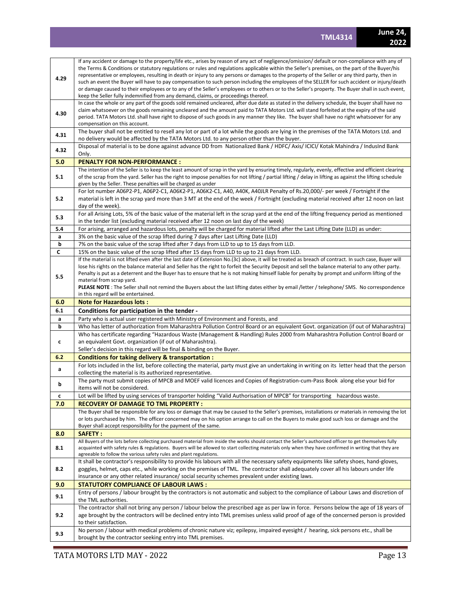| 4.29   | If any accident or damage to the property/life etc., arises by reason of any act of negligence/omission/default or non-compliance with any of<br>the Terms & Conditions or statutory regulations or rules and regulations applicable within the Seller's premises, on the part of the Buyer/his<br>representative or employees, resulting in death or injury to any persons or damages to the property of the Seller or any third party, then in |  |  |  |  |  |  |
|--------|--------------------------------------------------------------------------------------------------------------------------------------------------------------------------------------------------------------------------------------------------------------------------------------------------------------------------------------------------------------------------------------------------------------------------------------------------|--|--|--|--|--|--|
|        | such an event the Buyer will have to pay compensation to such person including the employees of the SELLER for such accident or injury/death<br>or damage caused to their employees or to any of the Seller's employees or to others or to the Seller's property. The Buyer shall in such event,<br>keep the Seller fully indemnified from any demand, claims, or proceedings thereof.                                                           |  |  |  |  |  |  |
|        | In case the whole or any part of the goods sold remained uncleared, after due date as stated in the delivery schedule, the buyer shall have no<br>claim whatsoever on the goods remaining uncleared and the amount paid to TATA Motors Ltd. will stand forfeited at the expiry of the said                                                                                                                                                       |  |  |  |  |  |  |
| 4.30   | period. TATA Motors Ltd. shall have right to dispose of such goods in any manner they like. The buyer shall have no right whatsoever for any                                                                                                                                                                                                                                                                                                     |  |  |  |  |  |  |
|        | compensation on this account.<br>The buyer shall not be entitled to resell any lot or part of a lot while the goods are lying in the premises of the TATA Motors Ltd. and                                                                                                                                                                                                                                                                        |  |  |  |  |  |  |
| 4.31   | no delivery would be affected by the TATA Motors Ltd. to any person other than the buyer.                                                                                                                                                                                                                                                                                                                                                        |  |  |  |  |  |  |
| 4.32   | Disposal of material is to be done against advance DD from Nationalized Bank / HDFC/ Axis/ ICICI/ Kotak Mahindra / IndusInd Bank<br>Only.                                                                                                                                                                                                                                                                                                        |  |  |  |  |  |  |
| 5.0    | <b>PENALTY FOR NON-PERFORMANCE:</b>                                                                                                                                                                                                                                                                                                                                                                                                              |  |  |  |  |  |  |
| 5.1    | The intention of the Seller is to keep the least amount of scrap in the yard by ensuring timely, regularly, evenly, effective and efficient clearing<br>of the scrap from the yard. Seller has the right to impose penalties for not lifting / partial lifting / delay in lifting as against the lifting schedule<br>given by the Seller. These penalties will be charged as under                                                               |  |  |  |  |  |  |
|        | For lot number A06P2-P1, A06P2-C1, A06K2-P1, A06K2-C1, A40, A40K, A40JLR Penalty of Rs.20,000/- per week / Fortnight if the                                                                                                                                                                                                                                                                                                                      |  |  |  |  |  |  |
| 5.2    | material is left in the scrap yard more than 3 MT at the end of the week / Fortnight (excluding material received after 12 noon on last                                                                                                                                                                                                                                                                                                          |  |  |  |  |  |  |
|        | day of the week).<br>For all Arising Lots, 5% of the basic value of the material left in the scrap yard at the end of the lifting frequency period as mentioned                                                                                                                                                                                                                                                                                  |  |  |  |  |  |  |
| 5.3    | in the tender list (excluding material received after 12 noon on last day of the week)                                                                                                                                                                                                                                                                                                                                                           |  |  |  |  |  |  |
| 5.4    | For arising, arranged and hazardous lots, penalty will be charged for material lifted after the Last Lifting Date (LLD) as under:                                                                                                                                                                                                                                                                                                                |  |  |  |  |  |  |
| a<br>b | 3% on the basic value of the scrap lifted during 7 days after Last Lifting Date (LLD)                                                                                                                                                                                                                                                                                                                                                            |  |  |  |  |  |  |
| C      | 7% on the basic value of the scrap lifted after 7 days from LLD to up to 15 days from LLD.<br>15% on the basic value of the scrap lifted after 15 days from LLD to up to 21 days from LLD.                                                                                                                                                                                                                                                       |  |  |  |  |  |  |
|        | If the material is not lifted even after the last date of Extension No.(3c) above, it will be treated as breach of contract. In such case, Buyer will                                                                                                                                                                                                                                                                                            |  |  |  |  |  |  |
|        | lose his rights on the balance material and Seller has the right to forfeit the Security Deposit and sell the balance material to any other party.                                                                                                                                                                                                                                                                                               |  |  |  |  |  |  |
| 5.5    | Penalty is put as a deterrent and the Buyer has to ensure that he is not making himself liable for penalty by prompt and uniform lifting of the<br>material from scrap yard.                                                                                                                                                                                                                                                                     |  |  |  |  |  |  |
|        | PLEASE NOTE: The Seller shall not remind the Buyers about the last lifting dates either by email /letter / telephone/ SMS. No correspondence                                                                                                                                                                                                                                                                                                     |  |  |  |  |  |  |
|        | in this regard will be entertained.                                                                                                                                                                                                                                                                                                                                                                                                              |  |  |  |  |  |  |
|        |                                                                                                                                                                                                                                                                                                                                                                                                                                                  |  |  |  |  |  |  |
| 6.0    | <b>Note for Hazardous lots:</b>                                                                                                                                                                                                                                                                                                                                                                                                                  |  |  |  |  |  |  |
| 6.1    | Conditions for participation in the tender -                                                                                                                                                                                                                                                                                                                                                                                                     |  |  |  |  |  |  |
| а<br>b | Party who is actual user registered with Ministry of Environment and Forests, and                                                                                                                                                                                                                                                                                                                                                                |  |  |  |  |  |  |
|        | Who has letter of authorization from Maharashtra Pollution Control Board or an equivalent Govt. organization (if out of Maharashtra)<br>Who has certificate regarding "Hazardous Waste (Management & Handling) Rules 2000 from Maharashtra Pollution Control Board or                                                                                                                                                                            |  |  |  |  |  |  |
| c      | an equivalent Govt. organization (if out of Maharashtra).                                                                                                                                                                                                                                                                                                                                                                                        |  |  |  |  |  |  |
|        | Seller's decision in this regard will be final & binding on the Buyer.                                                                                                                                                                                                                                                                                                                                                                           |  |  |  |  |  |  |
| 6.2    | Conditions for taking delivery & transportation :                                                                                                                                                                                                                                                                                                                                                                                                |  |  |  |  |  |  |
| a      | For lots included in the list, before collecting the material, party must give an undertaking in writing on its letter head that the person<br>collecting the material is its authorized representative.                                                                                                                                                                                                                                         |  |  |  |  |  |  |
| b      | The party must submit copies of MPCB and MOEF valid licences and Copies of Registration-cum-Pass Book along else your bid for                                                                                                                                                                                                                                                                                                                    |  |  |  |  |  |  |
| c      | items will not be considered.<br>Lot will be lifted by using services of transporter holding "Valid Authorisation of MPCB" for transporting hazardous waste.                                                                                                                                                                                                                                                                                     |  |  |  |  |  |  |
| 7.0    | <b>RECOVERY OF DAMAGE TO TML PROPERTY:</b>                                                                                                                                                                                                                                                                                                                                                                                                       |  |  |  |  |  |  |
|        | The Buyer shall be responsible for any loss or damage that may be caused to the Seller's premises, installations or materials in removing the lot<br>or lots purchased by him. The officer concerned may on his option arrange to call on the Buyers to make good such loss or damage and the                                                                                                                                                    |  |  |  |  |  |  |
|        | Buyer shall accept responsibility for the payment of the same.                                                                                                                                                                                                                                                                                                                                                                                   |  |  |  |  |  |  |
| 8.0    | <b>SAFETY:</b>                                                                                                                                                                                                                                                                                                                                                                                                                                   |  |  |  |  |  |  |
| 8.1    | All Buyers of the lots before collecting purchased material from inside the works should contact the Seller's authorized officer to get themselves fully<br>acquainted with safety rules & regulations. Buyers will be allowed to start collecting materials only when they have confirmed in writing that they are<br>agreeable to follow the various safety rules and plant regulations.                                                       |  |  |  |  |  |  |
|        | It shall be contractor's responsibility to provide his labours with all the necessary safety equipments like safety shoes, hand-gloves,                                                                                                                                                                                                                                                                                                          |  |  |  |  |  |  |
| 8.2    | goggles, helmet, caps etc., while working on the premises of TML. The contractor shall adequately cover all his labours under life<br>insurance or any other related insurance/ social security schemes prevalent under existing laws.                                                                                                                                                                                                           |  |  |  |  |  |  |
| 9.0    | <b>STATUTORY COMPLIANCE OF LABOUR LAWS :</b>                                                                                                                                                                                                                                                                                                                                                                                                     |  |  |  |  |  |  |
| 9.1    | Entry of persons / labour brought by the contractors is not automatic and subject to the compliance of Labour Laws and discretion of<br>the TML authorities.                                                                                                                                                                                                                                                                                     |  |  |  |  |  |  |
| 9.2    | The contractor shall not bring any person / labour below the prescribed age as per law in force. Persons below the age of 18 years of<br>age brought by the contractors will be declined entry into TML premises unless valid proof of age of the concerned person is provided<br>to their satisfaction.<br>No person / labour with medical problems of chronic nature viz; epilepsy, impaired eyesight / hearing, sick persons etc., shall be   |  |  |  |  |  |  |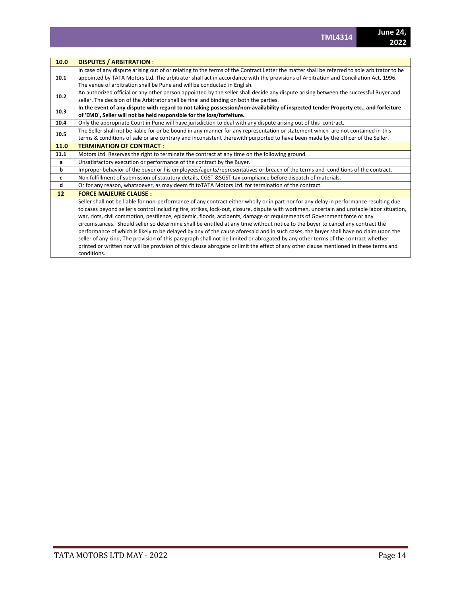| 10.0 | <b>DISPUTES / ARBITRATION:</b>                                                                                                                                                                                                                                                                                                                                 |  |  |  |  |  |  |  |
|------|----------------------------------------------------------------------------------------------------------------------------------------------------------------------------------------------------------------------------------------------------------------------------------------------------------------------------------------------------------------|--|--|--|--|--|--|--|
| 10.1 | In case of any dispute arising out of or relating to the terms of the Contract Letter the matter shall be referred to sole arbitrator to be<br>appointed by TATA Motors Ltd. The arbitrator shall act in accordance with the provisions of Arbitration and Conciliation Act, 1996.<br>The venue of arbitration shall be Pune and will be conducted in English. |  |  |  |  |  |  |  |
| 10.2 | An authorized official or any other person appointed by the seller shall decide any dispute arising between the successful Buyer and<br>seller. The decision of the Arbitrator shall be final and binding on both the parties.                                                                                                                                 |  |  |  |  |  |  |  |
| 10.3 | In the event of any dispute with regard to not taking possession/non-availability of inspected tender Property etc., and forfeiture<br>of 'EMD', Seller will not be held responsible for the loss/forfeiture.                                                                                                                                                  |  |  |  |  |  |  |  |
| 10.4 | Only the appropriate Court in Pune will have jurisdiction to deal with any dispute arising out of this contract.                                                                                                                                                                                                                                               |  |  |  |  |  |  |  |
| 10.5 | The Seller shall not be liable for or be bound in any manner for any representation or statement which are not contained in this                                                                                                                                                                                                                               |  |  |  |  |  |  |  |
|      | terms & conditions of sale or are contrary and inconsistent therewith purported to have been made by the officer of the Seller.                                                                                                                                                                                                                                |  |  |  |  |  |  |  |
| 11.0 | <b>TERMINATION OF CONTRACT:</b>                                                                                                                                                                                                                                                                                                                                |  |  |  |  |  |  |  |
| 11.1 | Motors Ltd. Reserves the right to terminate the contract at any time on the following ground.                                                                                                                                                                                                                                                                  |  |  |  |  |  |  |  |
| a    | Unsatisfactory execution or performance of the contract by the Buyer.                                                                                                                                                                                                                                                                                          |  |  |  |  |  |  |  |
| b    | Improper behavior of the buyer or his employees/agents/representatives or breach of the terms and conditions of the contract.                                                                                                                                                                                                                                  |  |  |  |  |  |  |  |
| c    | Non fulfillment of submission of statutory details, CGST & SGST tax compliance before dispatch of materials.                                                                                                                                                                                                                                                   |  |  |  |  |  |  |  |
| d    | Or for any reason, whatsoever, as may deem fit to TATA Motors Ltd. for termination of the contract.                                                                                                                                                                                                                                                            |  |  |  |  |  |  |  |
| 12   | <b>FORCE MAJEURE CLAUSE:</b>                                                                                                                                                                                                                                                                                                                                   |  |  |  |  |  |  |  |
|      | Seller shall not be liable for non-performance of any contract either wholly or in part nor for any delay in performance resulting due                                                                                                                                                                                                                         |  |  |  |  |  |  |  |
|      | to cases beyond seller's control including fire, strikes, lock-out, closure, dispute with workmen, uncertain and unstable labor situation,                                                                                                                                                                                                                     |  |  |  |  |  |  |  |
|      | war, riots, civil commotion, pestilence, epidemic, floods, accidents, damage or requirements of Government force or any                                                                                                                                                                                                                                        |  |  |  |  |  |  |  |
|      | circumstances. Should seller so determine shall be entitled at any time without notice to the buyer to cancel any contract the                                                                                                                                                                                                                                 |  |  |  |  |  |  |  |
|      | performance of which is likely to be delayed by any of the cause aforesaid and in such cases, the buyer shall have no claim upon the                                                                                                                                                                                                                           |  |  |  |  |  |  |  |
|      | seller of any kind, The provision of this paragraph shall not be limited or abrogated by any other terms of the contract whether                                                                                                                                                                                                                               |  |  |  |  |  |  |  |
|      | printed or written nor will be provision of this clause abrogate or limit the effect of any other clause mentioned in these terms and                                                                                                                                                                                                                          |  |  |  |  |  |  |  |
|      | conditions.                                                                                                                                                                                                                                                                                                                                                    |  |  |  |  |  |  |  |